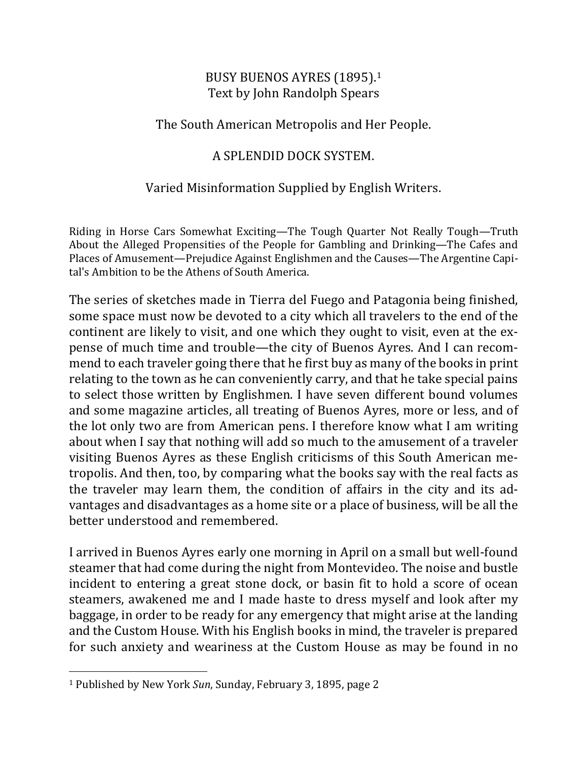# BUSY BUENOS AYRES (1895).<sup>1</sup> Text by John Randolph Spears

### The South American Metropolis and Her People.

#### A SPLENDID DOCK SYSTEM.

# Varied Misinformation Supplied by English Writers.

Riding in Horse Cars Somewhat Exciting—The Tough Quarter Not Really Tough—Truth About the Alleged Propensities of the People for Gambling and Drinking—The Cafes and Places of Amusement—Prejudice Against Englishmen and the Causes—The Argentine Capital's Ambition to be the Athens of South America.

The series of sketches made in Tierra del Fuego and Patagonia being finished, some space must now be devoted to a city which all travelers to the end of the continent are likely to visit, and one which they ought to visit, even at the expense of much time and trouble—the city of Buenos Ayres. And I can recommend to each traveler going there that he first buy as many of the books in print relating to the town as he can conveniently carry, and that he take special pains to select those written by Englishmen. I have seven different bound volumes and some magazine articles, all treating of Buenos Ayres, more or less, and of the lot only two are from American pens. I therefore know what I am writing about when I say that nothing will add so much to the amusement of a traveler visiting Buenos Ayres as these English criticisms of this South American metropolis. And then, too, by comparing what the books say with the real facts as the traveler may learn them, the condition of affairs in the city and its advantages and disadvantages as a home site or a place of business, will be all the better understood and remembered.

I arrived in Buenos Ayres early one morning in April on a small but well-found steamer that had come during the night from Montevideo. The noise and bustle incident to entering a great stone dock, or basin fit to hold a score of ocean steamers, awakened me and I made haste to dress myself and look after my baggage, in order to be ready for any emergency that might arise at the landing and the Custom House. With his English books in mind, the traveler is prepared for such anxiety and weariness at the Custom House as may be found in no

<sup>&</sup>lt;sup>1</sup> Published by New York *Sun*, Sunday, February 3, 1895, page 2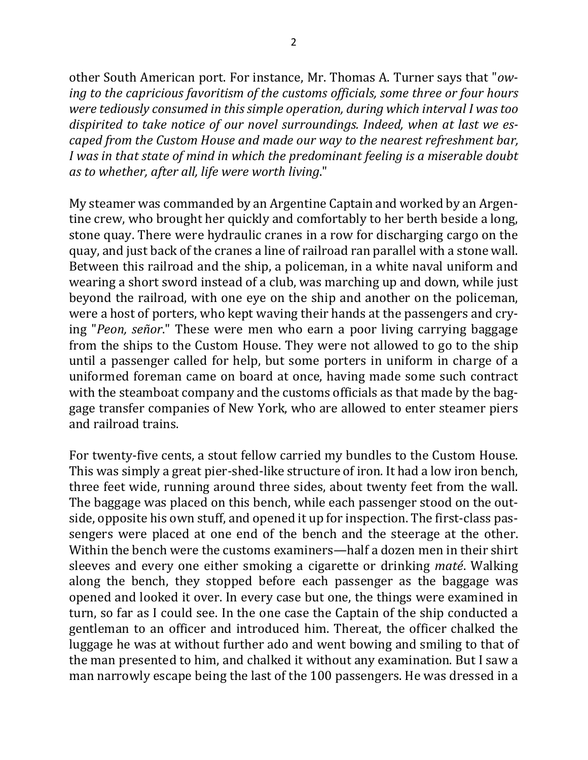other South American port. For instance, Mr. Thomas A. Turner says that "*owing to the capricious favoritism of the customs officials, some three or four hours were tediously consumed in this simple operation, during which interval I was too* dispirited to take notice of our novel surroundings. Indeed, when at last we es*caped from the Custom House and made our way to the nearest refreshment bar, I* was in that state of mind in which the predominant feeling is a miserable doubt as to whether, after all, life were worth living."

My steamer was commanded by an Argentine Captain and worked by an Argentine crew, who brought her quickly and comfortably to her berth beside a long, stone quay. There were hydraulic cranes in a row for discharging cargo on the quay, and just back of the cranes a line of railroad ran parallel with a stone wall. Between this railroad and the ship, a policeman, in a white naval uniform and wearing a short sword instead of a club, was marching up and down, while just beyond the railroad, with one eye on the ship and another on the policeman, were a host of porters, who kept waving their hands at the passengers and crying "*Peon, señor*." These were men who earn a poor living carrying baggage from the ships to the Custom House. They were not allowed to go to the ship until a passenger called for help, but some porters in uniform in charge of a uniformed foreman came on board at once, having made some such contract with the steamboat company and the customs officials as that made by the baggage transfer companies of New York, who are allowed to enter steamer piers and railroad trains.

For twenty-five cents, a stout fellow carried my bundles to the Custom House. This was simply a great pier-shed-like structure of iron. It had a low iron bench, three feet wide, running around three sides, about twenty feet from the wall. The baggage was placed on this bench, while each passenger stood on the outside, opposite his own stuff, and opened it up for inspection. The first-class passengers were placed at one end of the bench and the steerage at the other. Within the bench were the customs examiners—half a dozen men in their shirt sleeves and every one either smoking a cigarette or drinking *maté*. Walking along the bench, they stopped before each passenger as the baggage was opened and looked it over. In every case but one, the things were examined in turn, so far as I could see. In the one case the Captain of the ship conducted a gentleman to an officer and introduced him. Thereat, the officer chalked the luggage he was at without further ado and went bowing and smiling to that of the man presented to him, and chalked it without any examination. But I saw a man narrowly escape being the last of the 100 passengers. He was dressed in a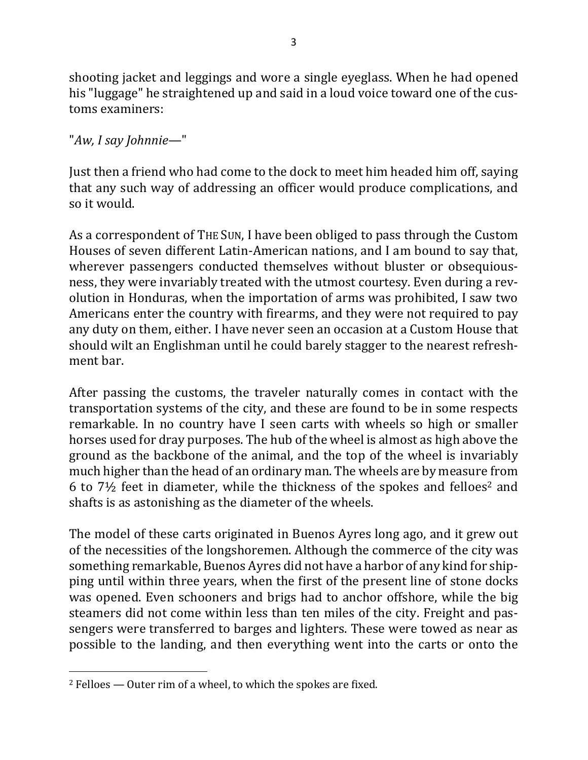shooting jacket and leggings and wore a single eyeglass. When he had opened his "luggage" he straightened up and said in a loud voice toward one of the customs examiners:

# "*Aw, I say Johnnie*—"

Just then a friend who had come to the dock to meet him headed him off, saying that any such way of addressing an officer would produce complications, and so it would.

As a correspondent of THE SUN, I have been obliged to pass through the Custom Houses of seven different Latin-American nations, and I am bound to say that, wherever passengers conducted themselves without bluster or obsequiousness, they were invariably treated with the utmost courtesy. Even during a revolution in Honduras, when the importation of arms was prohibited, I saw two Americans enter the country with firearms, and they were not required to pay any duty on them, either. I have never seen an occasion at a Custom House that should wilt an Englishman until he could barely stagger to the nearest refreshment bar.

After passing the customs, the traveler naturally comes in contact with the transportation systems of the city, and these are found to be in some respects remarkable. In no country have I seen carts with wheels so high or smaller horses used for dray purposes. The hub of the wheel is almost as high above the ground as the backbone of the animal, and the top of the wheel is invariably much higher than the head of an ordinary man. The wheels are by measure from 6 to  $7\frac{1}{2}$  feet in diameter, while the thickness of the spokes and felloes<sup>2</sup> and shafts is as astonishing as the diameter of the wheels.

The model of these carts originated in Buenos Ayres long ago, and it grew out of the necessities of the longshoremen. Although the commerce of the city was something remarkable, Buenos Ayres did not have a harbor of any kind for shipping until within three years, when the first of the present line of stone docks was opened. Even schooners and brigs had to anchor offshore, while the big steamers did not come within less than ten miles of the city. Freight and passengers were transferred to barges and lighters. These were towed as near as possible to the landing, and then everything went into the carts or onto the

 $\overline{\phantom{a}}$ 

 $2$  Felloes  $-$  Outer rim of a wheel, to which the spokes are fixed.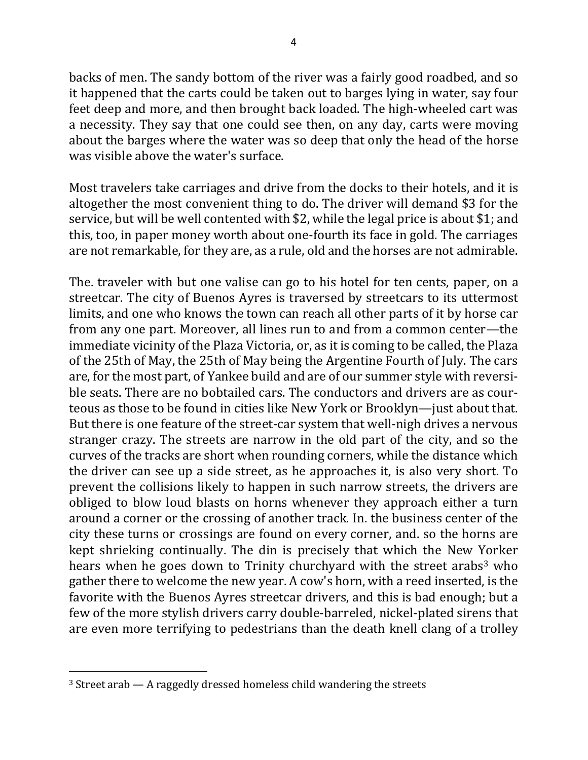backs of men. The sandy bottom of the river was a fairly good roadbed, and so it happened that the carts could be taken out to barges lying in water, say four feet deep and more, and then brought back loaded. The high-wheeled cart was a necessity. They say that one could see then, on any day, carts were moving about the barges where the water was so deep that only the head of the horse was visible above the water's surface.

Most travelers take carriages and drive from the docks to their hotels, and it is altogether the most convenient thing to do. The driver will demand \$3 for the service, but will be well contented with \$2, while the legal price is about \$1; and this, too, in paper money worth about one-fourth its face in gold. The carriages are not remarkable, for they are, as a rule, old and the horses are not admirable.

The. traveler with but one valise can go to his hotel for ten cents, paper, on a streetcar. The city of Buenos Ayres is traversed by streetcars to its uttermost limits, and one who knows the town can reach all other parts of it by horse car from any one part. Moreover, all lines run to and from a common center—the immediate vicinity of the Plaza Victoria, or, as it is coming to be called, the Plaza of the 25th of May, the 25th of May being the Argentine Fourth of July. The cars are, for the most part, of Yankee build and are of our summer style with reversible seats. There are no bobtailed cars. The conductors and drivers are as courteous as those to be found in cities like New York or Brooklyn—just about that. But there is one feature of the street-car system that well-nigh drives a nervous stranger crazy. The streets are narrow in the old part of the city, and so the curves of the tracks are short when rounding corners, while the distance which the driver can see up a side street, as he approaches it, is also very short. To prevent the collisions likely to happen in such narrow streets, the drivers are obliged to blow loud blasts on horns whenever they approach either a turn around a corner or the crossing of another track. In. the business center of the city these turns or crossings are found on every corner, and. so the horns are kept shrieking continually. The din is precisely that which the New Yorker hears when he goes down to Trinity churchyard with the street arabs<sup>3</sup> who gather there to welcome the new year. A cow's horn, with a reed inserted, is the favorite with the Buenos Ayres streetcar drivers, and this is bad enough; but a few of the more stylish drivers carry double-barreled, nickel-plated sirens that are even more terrifying to pedestrians than the death knell clang of a trolley

 $\overline{\phantom{a}}$ 

 $3$  Street arab — A raggedly dressed homeless child wandering the streets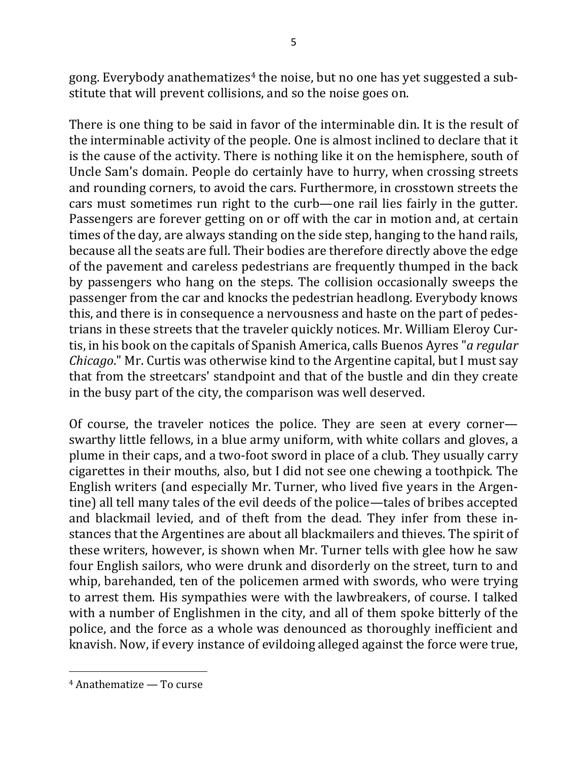gong. Everybody anathematizes<sup>4</sup> the noise, but no one has yet suggested a substitute that will prevent collisions, and so the noise goes on.

There is one thing to be said in favor of the interminable din. It is the result of the interminable activity of the people. One is almost inclined to declare that it is the cause of the activity. There is nothing like it on the hemisphere, south of Uncle Sam's domain. People do certainly have to hurry, when crossing streets and rounding corners, to avoid the cars. Furthermore, in crosstown streets the cars must sometimes run right to the curb—one rail lies fairly in the gutter. Passengers are forever getting on or off with the car in motion and, at certain times of the day, are always standing on the side step, hanging to the hand rails, because all the seats are full. Their bodies are therefore directly above the edge of the pavement and careless pedestrians are frequently thumped in the back by passengers who hang on the steps. The collision occasionally sweeps the passenger from the car and knocks the pedestrian headlong. Everybody knows this, and there is in consequence a nervousness and haste on the part of pedestrians in these streets that the traveler quickly notices. Mr. William Eleroy Curtis, in his book on the capitals of Spanish America, calls Buenos Ayres "*a regular Chicago*." Mr. Curtis was otherwise kind to the Argentine capital, but I must say that from the streetcars' standpoint and that of the bustle and din they create in the busy part of the city, the comparison was well deserved.

Of course, the traveler notices the police. They are seen at every corner swarthy little fellows, in a blue army uniform, with white collars and gloves, a plume in their caps, and a two-foot sword in place of a club. They usually carry cigarettes in their mouths, also, but I did not see one chewing a toothpick. The English writers (and especially Mr. Turner, who lived five years in the Argentine) all tell many tales of the evil deeds of the police—tales of bribes accepted and blackmail levied, and of theft from the dead. They infer from these instances that the Argentines are about all blackmailers and thieves. The spirit of these writers, however, is shown when Mr. Turner tells with glee how he saw four English sailors, who were drunk and disorderly on the street, turn to and whip, barehanded, ten of the policemen armed with swords, who were trying to arrest them. His sympathies were with the lawbreakers, of course. I talked with a number of Englishmen in the city, and all of them spoke bitterly of the police, and the force as a whole was denounced as thoroughly inefficient and knavish. Now, if every instance of evildoing alleged against the force were true,

 $\overline{\phantom{a}}$ 

 $4$  Anathematize  $-$  To curse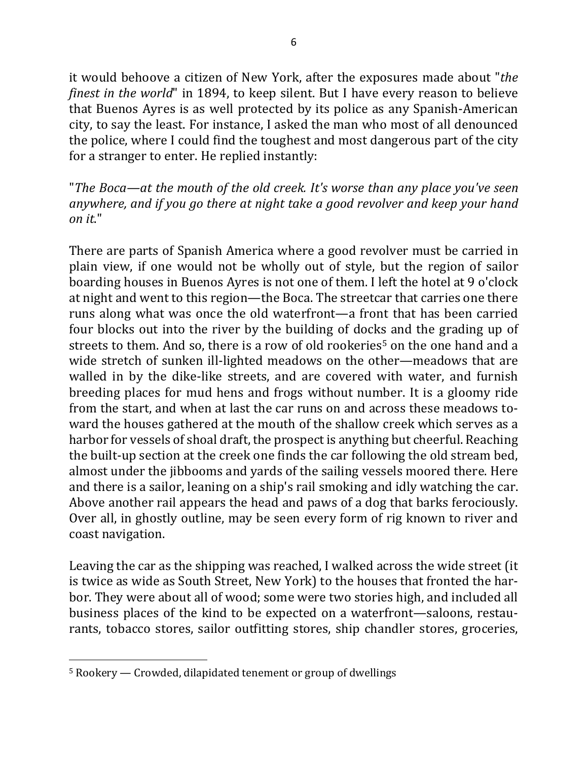it would behoove a citizen of New York, after the exposures made about "*the finest in the world*" in 1894, to keep silent. But I have every reason to believe that Buenos Ayres is as well protected by its police as any Spanish-American city, to say the least. For instance, I asked the man who most of all denounced the police, where I could find the toughest and most dangerous part of the city for a stranger to enter. He replied instantly:

"The Boca—at the mouth of the old creek. It's worse than any place you've seen anywhere, and if you go there at night take a good revolver and keep your hand *on it*."

There are parts of Spanish America where a good revolver must be carried in plain view, if one would not be wholly out of style, but the region of sailor boarding houses in Buenos Ayres is not one of them. I left the hotel at 9 o'clock at night and went to this region—the Boca. The streetcar that carries one there runs along what was once the old waterfront—a front that has been carried four blocks out into the river by the building of docks and the grading up of streets to them. And so, there is a row of old rookeries<sup>5</sup> on the one hand and a wide stretch of sunken ill-lighted meadows on the other—meadows that are walled in by the dike-like streets, and are covered with water, and furnish breeding places for mud hens and frogs without number. It is a gloomy ride from the start, and when at last the car runs on and across these meadows toward the houses gathered at the mouth of the shallow creek which serves as a harbor for vessels of shoal draft, the prospect is anything but cheerful. Reaching the built-up section at the creek one finds the car following the old stream bed, almost under the jibbooms and yards of the sailing vessels moored there. Here and there is a sailor, leaning on a ship's rail smoking and idly watching the car. Above another rail appears the head and paws of a dog that barks ferociously. Over all, in ghostly outline, may be seen every form of rig known to river and coast navigation.

Leaving the car as the shipping was reached, I walked across the wide street (it is twice as wide as South Street, New York) to the houses that fronted the harbor. They were about all of wood; some were two stories high, and included all business places of the kind to be expected on a waterfront—saloons, restaurants, tobacco stores, sailor outfitting stores, ship chandler stores, groceries,

 $5$  Rookery  $-$  Crowded, dilapidated tenement or group of dwellings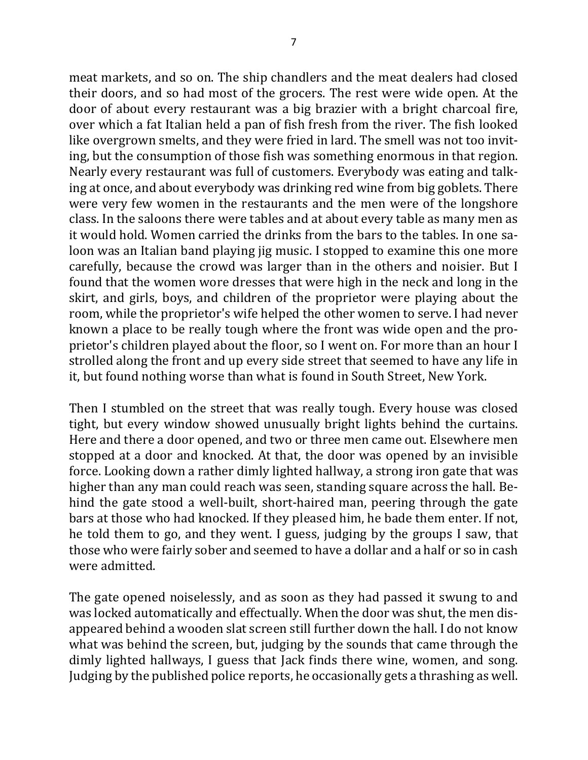meat markets, and so on. The ship chandlers and the meat dealers had closed their doors, and so had most of the grocers. The rest were wide open. At the door of about every restaurant was a big brazier with a bright charcoal fire, over which a fat Italian held a pan of fish fresh from the river. The fish looked like overgrown smelts, and they were fried in lard. The smell was not too inviting, but the consumption of those fish was something enormous in that region. Nearly every restaurant was full of customers. Everybody was eating and talking at once, and about everybody was drinking red wine from big goblets. There were very few women in the restaurants and the men were of the longshore class. In the saloons there were tables and at about every table as many men as it would hold. Women carried the drinks from the bars to the tables. In one saloon was an Italian band playing jig music. I stopped to examine this one more carefully, because the crowd was larger than in the others and noisier. But I found that the women wore dresses that were high in the neck and long in the skirt, and girls, boys, and children of the proprietor were playing about the room, while the proprietor's wife helped the other women to serve. I had never known a place to be really tough where the front was wide open and the proprietor's children played about the floor, so I went on. For more than an hour I strolled along the front and up every side street that seemed to have any life in it, but found nothing worse than what is found in South Street, New York.

Then I stumbled on the street that was really tough. Every house was closed tight, but every window showed unusually bright lights behind the curtains. Here and there a door opened, and two or three men came out. Elsewhere men stopped at a door and knocked. At that, the door was opened by an invisible force. Looking down a rather dimly lighted hallway, a strong iron gate that was higher than any man could reach was seen, standing square across the hall. Behind the gate stood a well-built, short-haired man, peering through the gate bars at those who had knocked. If they pleased him, he bade them enter. If not, he told them to go, and they went. I guess, judging by the groups I saw, that those who were fairly sober and seemed to have a dollar and a half or so in cash were admitted.

The gate opened noiselessly, and as soon as they had passed it swung to and was locked automatically and effectually. When the door was shut, the men disappeared behind a wooden slat screen still further down the hall. I do not know what was behind the screen, but, judging by the sounds that came through the dimly lighted hallways, I guess that Jack finds there wine, women, and song. Judging by the published police reports, he occasionally gets a thrashing as well.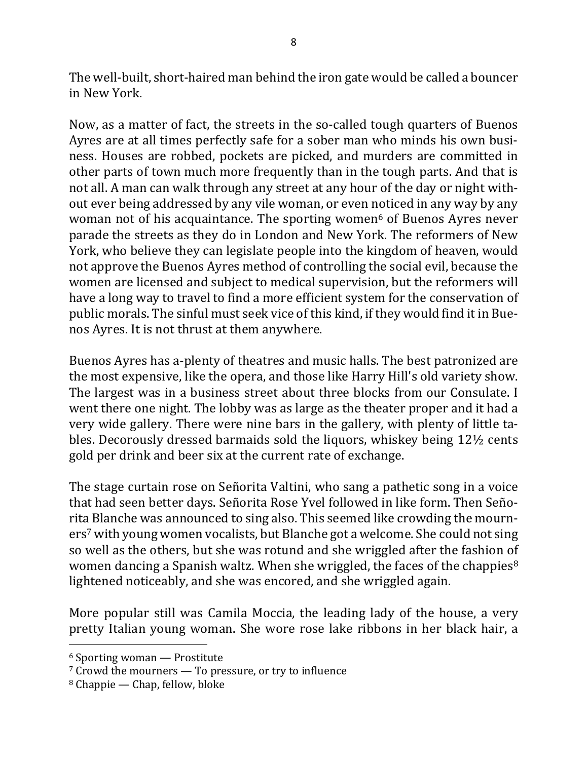The well-built, short-haired man behind the iron gate would be called a bouncer in New York.

Now, as a matter of fact, the streets in the so-called tough quarters of Buenos Ayres are at all times perfectly safe for a sober man who minds his own business. Houses are robbed, pockets are picked, and murders are committed in other parts of town much more frequently than in the tough parts. And that is not all. A man can walk through any street at any hour of the day or night without ever being addressed by any vile woman, or even noticed in any way by any woman not of his acquaintance. The sporting women<sup>6</sup> of Buenos Ayres never parade the streets as they do in London and New York. The reformers of New York, who believe they can legislate people into the kingdom of heaven, would not approve the Buenos Ayres method of controlling the social evil, because the women are licensed and subject to medical supervision, but the reformers will have a long way to travel to find a more efficient system for the conservation of public morals. The sinful must seek vice of this kind, if they would find it in Buenos Ayres. It is not thrust at them anywhere.

Buenos Ayres has a-plenty of theatres and music halls. The best patronized are the most expensive, like the opera, and those like Harry Hill's old variety show. The largest was in a business street about three blocks from our Consulate. I went there one night. The lobby was as large as the theater proper and it had a very wide gallery. There were nine bars in the gallery, with plenty of little tables. Decorously dressed barmaids sold the liquors, whiskey being  $12\frac{1}{2}$  cents gold per drink and beer six at the current rate of exchange.

The stage curtain rose on Señorita Valtini, who sang a pathetic song in a voice that had seen better days. Señorita Rose Yvel followed in like form. Then Señorita Blanche was announced to sing also. This seemed like crowding the mourners<sup>7</sup> with young women vocalists, but Blanche got a welcome. She could not sing so well as the others, but she was rotund and she wriggled after the fashion of women dancing a Spanish waltz. When she wriggled, the faces of the chappies<sup>8</sup> lightened noticeably, and she was encored, and she wriggled again.

More popular still was Camila Moccia, the leading lady of the house, a very pretty Italian young woman. She wore rose lake ribbons in her black hair, a

 $6$  Sporting woman  $-$  Prostitute

 $7$  Crowd the mourners  $-$  To pressure, or try to influence

 $8$  Chappie — Chap, fellow, bloke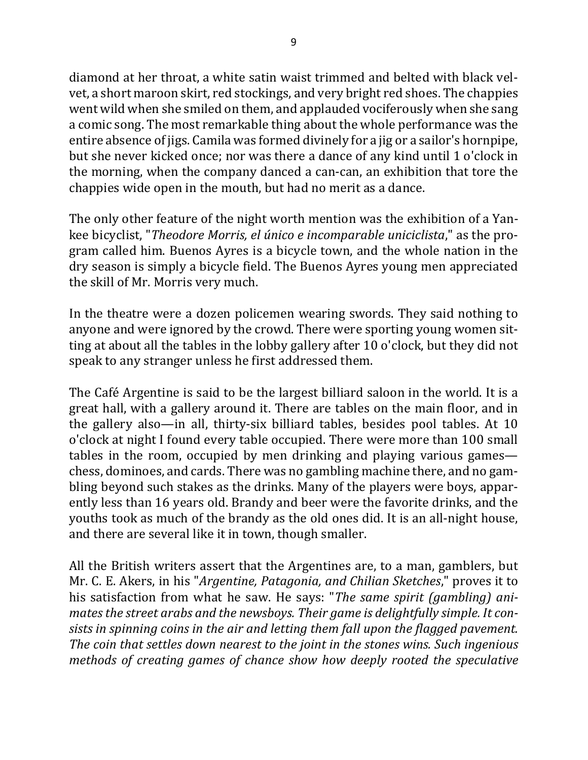diamond at her throat, a white satin waist trimmed and belted with black velvet, a short maroon skirt, red stockings, and very bright red shoes. The chappies went wild when she smiled on them, and applauded vociferously when she sang a comic song. The most remarkable thing about the whole performance was the entire absence of jigs. Camila was formed divinely for a jig or a sailor's hornpipe, but she never kicked once; nor was there a dance of any kind until 1 o'clock in the morning, when the company danced a can-can, an exhibition that tore the chappies wide open in the mouth, but had no merit as a dance.

The only other feature of the night worth mention was the exhibition of a Yankee bicyclist, "*Theodore Morris, el único e incomparable uniciclista*," as the program called him. Buenos Ayres is a bicycle town, and the whole nation in the dry season is simply a bicycle field. The Buenos Ayres young men appreciated the skill of Mr. Morris very much.

In the theatre were a dozen policemen wearing swords. They said nothing to anyone and were ignored by the crowd. There were sporting young women sitting at about all the tables in the lobby gallery after 10 o'clock, but they did not speak to any stranger unless he first addressed them.

The Café Argentine is said to be the largest billiard saloon in the world. It is a great hall, with a gallery around it. There are tables on the main floor, and in the gallery also—in all, thirty-six billiard tables, besides pool tables. At  $10$ o'clock at night I found every table occupied. There were more than 100 small tables in the room, occupied by men drinking and playing various games chess, dominoes, and cards. There was no gambling machine there, and no gambling beyond such stakes as the drinks. Many of the players were boys, apparently less than 16 years old. Brandy and beer were the favorite drinks, and the youths took as much of the brandy as the old ones did. It is an all-night house, and there are several like it in town, though smaller.

All the British writers assert that the Argentines are, to a man, gamblers, but Mr. C. E. Akers, in his "*Argentine, Patagonia, and Chilian Sketches*," proves it to his satisfaction from what he saw. He says: "*The same spirit (gambling)* ani*mates the street arabs and the newsboys. Their game is delightfully simple. It con*sists in spinning coins in the air and letting them fall upon the flagged pavement. The coin that settles down nearest to the joint in the stones wins. Such ingenious *methods of creating games of chance show how deeply rooted the speculative*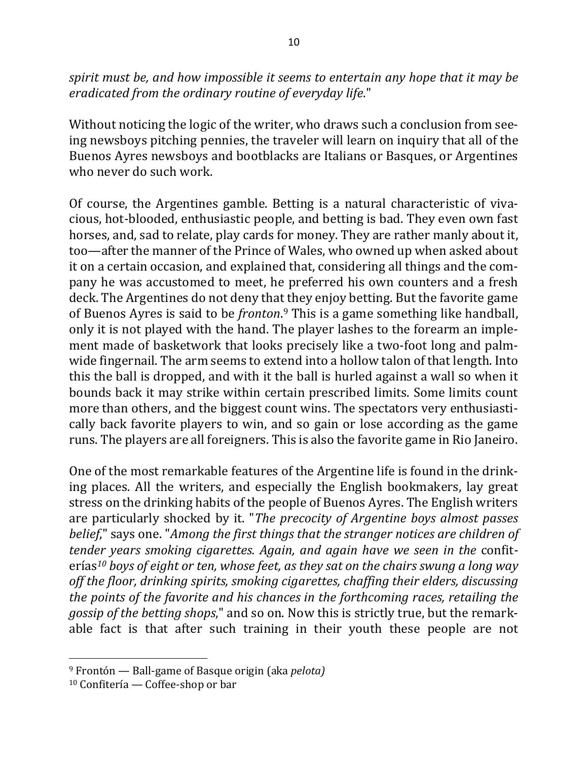*spirit must be, and how impossible it seems to entertain any hope that it may be eradicated from the ordinary routine of everyday life."* 

Without noticing the logic of the writer, who draws such a conclusion from seeing newsboys pitching pennies, the traveler will learn on inquiry that all of the Buenos Ayres newsboys and bootblacks are Italians or Basques, or Argentines who never do such work.

Of course, the Argentines gamble. Betting is a natural characteristic of vivacious, hot-blooded, enthusiastic people, and betting is bad. They even own fast horses, and, sad to relate, play cards for money. They are rather manly about it, too—after the manner of the Prince of Wales, who owned up when asked about it on a certain occasion, and explained that, considering all things and the company he was accustomed to meet, he preferred his own counters and a fresh deck. The Argentines do not deny that they enjoy betting. But the favorite game of Buenos Ayres is said to be *fronton*.<sup>9</sup> This is a game something like handball, only it is not played with the hand. The player lashes to the forearm an implement made of basketwork that looks precisely like a two-foot long and palmwide fingernail. The arm seems to extend into a hollow talon of that length. Into this the ball is dropped, and with it the ball is hurled against a wall so when it bounds back it may strike within certain prescribed limits. Some limits count more than others, and the biggest count wins. The spectators very enthusiastically back favorite players to win, and so gain or lose according as the game runs. The players are all foreigners. This is also the favorite game in Rio Janeiro.

One of the most remarkable features of the Argentine life is found in the drinking places. All the writers, and especially the English bookmakers, lay great stress on the drinking habits of the people of Buenos Ayres. The English writers are particularly shocked by it. "*The precocity of Argentine boys almost passes belief*," says one. "Among the first things that the stranger notices are children of *tender years smoking cigarettes. Again, and again have we seen in the confit*erías<sup>10</sup> boys of eight or ten, whose feet, as they sat on the chairs swung a long way off the floor, drinking spirits, smoking cigarettes, chaffing their elders, discussing *the points of the favorite and his chances in the forthcoming races, retailing the gossip* of the betting shops," and so on. Now this is strictly true, but the remarkable fact is that after such training in their youth these people are not

<sup>&</sup>lt;sup>9</sup> Frontón — Ball-game of Basque origin (aka *pelota*)

 $10$  Confitería — Coffee-shop or bar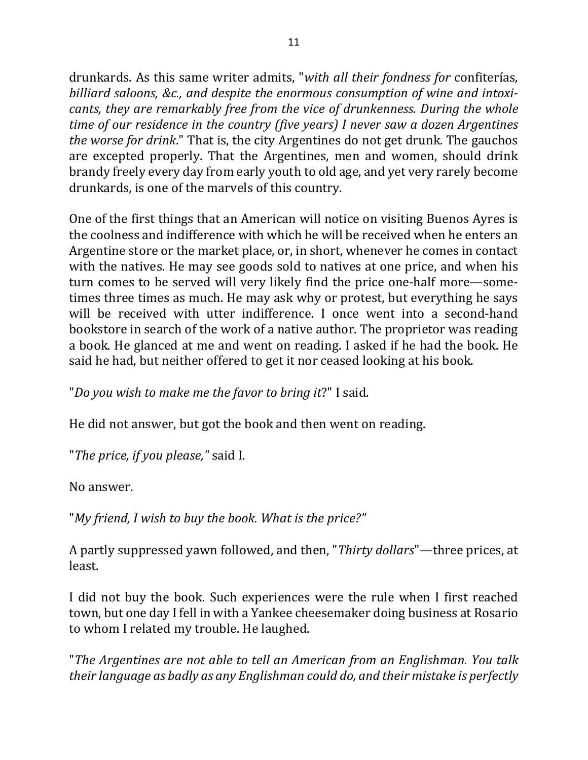drunkards. As this same writer admits, "*with all their fondness for* confiterías, billiard saloons, &c., and despite the enormous consumption of wine and intoxi*cants, they are remarkably free from the vice of drunkenness. During the whole time* of our residence in the country (five years) I never saw a dozen Argentines *the worse for drink*." That is, the city Argentines do not get drunk. The gauchos are excepted properly. That the Argentines, men and women, should drink brandy freely every day from early youth to old age, and yet very rarely become drunkards, is one of the marvels of this country.

One of the first things that an American will notice on visiting Buenos Ayres is the coolness and indifference with which he will be received when he enters an Argentine store or the market place, or, in short, whenever he comes in contact with the natives. He may see goods sold to natives at one price, and when his turn comes to be served will very likely find the price one-half more—sometimes three times as much. He may ask why or protest, but everything he says will be received with utter indifference. I once went into a second-hand bookstore in search of the work of a native author. The proprietor was reading a book. He glanced at me and went on reading. I asked if he had the book. He said he had, but neither offered to get it nor ceased looking at his book.

"*Do* you wish to make me the favor to bring it?" I said.

He did not answer, but got the book and then went on reading.

"The price, if you please," said I.

No answer.

"My friend, I wish to buy the book. What is the price?"

A partly suppressed yawn followed, and then, "*Thirty dollars*"—three prices, at least.

I did not buy the book. Such experiences were the rule when I first reached town, but one day I fell in with a Yankee cheesemaker doing business at Rosario to whom I related my trouble. He laughed.

**"The Argentines are not able to tell an American from an Englishman. You talk** *their language as badly as any Englishman could do, and their mistake is perfectly*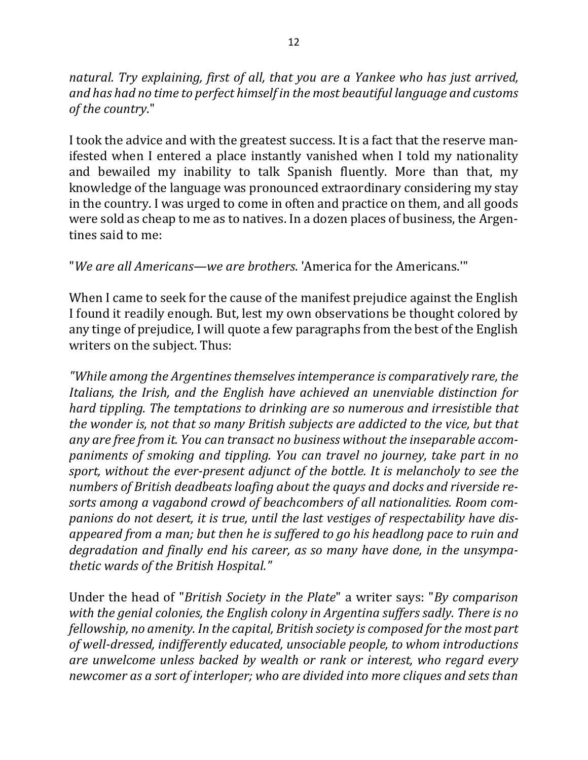*natural.* Try explaining, first of all, that you are a Yankee who has just arrived, and has had no time to perfect himself in the most beautiful language and customs of the country."

I took the advice and with the greatest success. It is a fact that the reserve manifested when I entered a place instantly vanished when I told my nationality and bewailed my inability to talk Spanish fluently. More than that, my knowledge of the language was pronounced extraordinary considering my stay in the country. I was urged to come in often and practice on them, and all goods were sold as cheap to me as to natives. In a dozen places of business, the Argentines said to me:

"We are all Americans—we are brothers. 'America for the Americans.'"

When I came to seek for the cause of the manifest prejudice against the English I found it readily enough. But, lest my own observations be thought colored by any tinge of prejudice, I will quote a few paragraphs from the best of the English writers on the subject. Thus:

*"While among the Argentines themselves intemperance is comparatively rare, the* Italians, the Irish, and the English have achieved an unenviable distinction for *hard tippling. The temptations to drinking are so numerous and irresistible that the wonder is, not that so many British subjects are addicted to the vice, but that* any are free from *it.* You can transact no business without the inseparable accom*paniments of smoking and tippling. You can travel no journey, take part in no* sport, without the ever-present adjunct of the bottle. It is melancholy to see the numbers of British deadbeats loafing about the quays and docks and riverside resorts among a vagabond crowd of beachcombers of all nationalities. Room companions do not desert, it is true, until the last vestiges of respectability have dis*appeared from a man; but then he is suffered to go his headlong pace to ruin and* degradation and finally end his career, as so many have done, in the unsympa*thetic wards of the British Hospital."*

Under the head of "*British Society in the Plate*" a writer says: "*By comparison* with the genial colonies, the English colony in Argentina suffers sadly. There is no *fellowship, no amenity. In the capital, British society is composed for the most part* of well-dressed, indifferently educated, unsociable people, to whom introductions *are unwelcome unless backed by wealth or rank or interest, who regard every newcomer as a sort of interloper; who are divided into more cliques and sets than*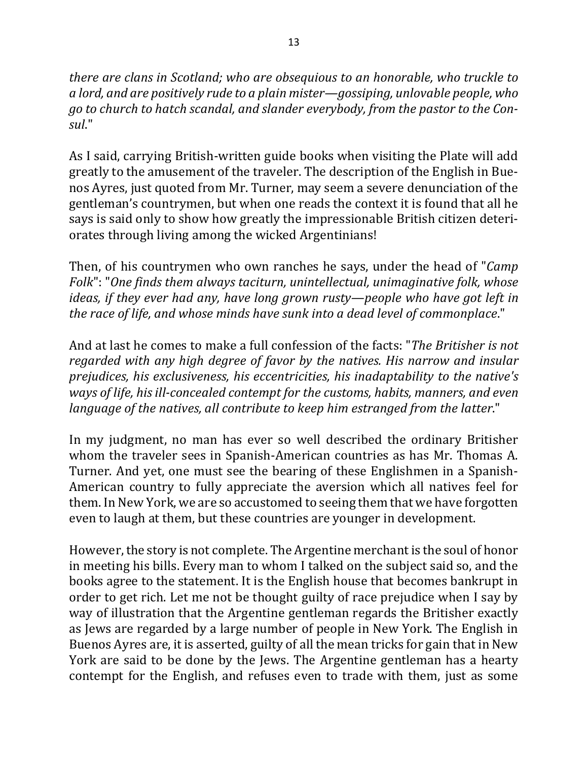*there are clans in Scotland;* who are obsequious to an honorable, who truckle to *a* lord, and are positively rude to a plain mister—gossiping, unlovable people, who go to church to hatch scandal, and slander everybody, from the pastor to the Con*sul*."

As I said, carrying British-written guide books when visiting the Plate will add greatly to the amusement of the traveler. The description of the English in Buenos Ayres, just quoted from Mr. Turner, may seem a severe denunciation of the gentleman's countrymen, but when one reads the context it is found that all he says is said only to show how greatly the impressionable British citizen deteriorates through living among the wicked Argentinians!

Then, of his countrymen who own ranches he says, under the head of "*Camp* Folk": "One finds them always taciturn, unintellectual, unimaginative folk, whose *ideas, if they ever had any, have long grown rusty—people who have got left in the race of life, and whose minds have sunk into a dead level of commonplace.*"

And at last he comes to make a full confession of the facts: "*The Britisher is not regarded with any high degree of favor by the natives. His narrow and insular prejudices, his exclusiveness, his eccentricities, his inadaptability to the native's ways of life, his ill-concealed contempt for the customs, habits, manners, and even language of the natives, all contribute to keep him estranged from the latter.*"

In my judgment, no man has ever so well described the ordinary Britisher whom the traveler sees in Spanish-American countries as has Mr. Thomas A. Turner. And yet, one must see the bearing of these Englishmen in a Spanish-American country to fully appreciate the aversion which all natives feel for them. In New York, we are so accustomed to seeing them that we have forgotten even to laugh at them, but these countries are younger in development.

However, the story is not complete. The Argentine merchant is the soul of honor in meeting his bills. Every man to whom I talked on the subject said so, and the books agree to the statement. It is the English house that becomes bankrupt in order to get rich. Let me not be thought guilty of race prejudice when I say by way of illustration that the Argentine gentleman regards the Britisher exactly as Jews are regarded by a large number of people in New York. The English in Buenos Ayres are, it is asserted, guilty of all the mean tricks for gain that in New York are said to be done by the Jews. The Argentine gentleman has a hearty contempt for the English, and refuses even to trade with them, just as some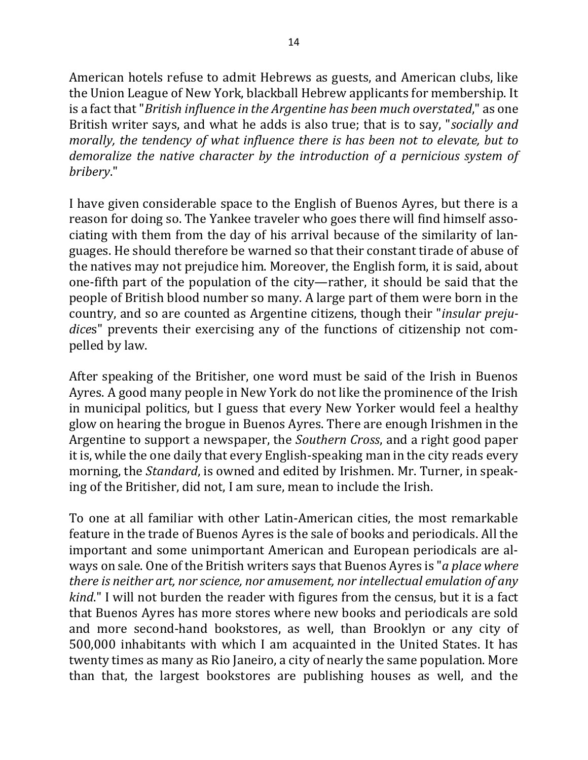American hotels refuse to admit Hebrews as guests, and American clubs, like the Union League of New York, blackball Hebrew applicants for membership. It is a fact that "*British influence in the Argentine has been much overstated*," as one British writer says, and what he adds is also true; that is to say, "*socially and morally, the tendency of what influence there is has been not to elevate, but to demoralize the native character by the introduction of a pernicious system of bribery*."

I have given considerable space to the English of Buenos Ayres, but there is a reason for doing so. The Yankee traveler who goes there will find himself associating with them from the day of his arrival because of the similarity of languages. He should therefore be warned so that their constant tirade of abuse of the natives may not prejudice him. Moreover, the English form, it is said, about one-fifth part of the population of the city—rather, it should be said that the people of British blood number so many. A large part of them were born in the country, and so are counted as Argentine citizens, though their "*insular preju*dices" prevents their exercising any of the functions of citizenship not compelled by law.

After speaking of the Britisher, one word must be said of the Irish in Buenos Ayres. A good many people in New York do not like the prominence of the Irish in municipal politics, but I guess that every New Yorker would feel a healthy glow on hearing the brogue in Buenos Ayres. There are enough Irishmen in the Argentine to support a newspaper, the *Southern Cross*, and a right good paper it is, while the one daily that every English-speaking man in the city reads every morning, the *Standard*, is owned and edited by Irishmen. Mr. Turner, in speaking of the Britisher, did not, I am sure, mean to include the Irish.

To one at all familiar with other Latin-American cities, the most remarkable feature in the trade of Buenos Ayres is the sale of books and periodicals. All the important and some unimportant American and European periodicals are always on sale. One of the British writers says that Buenos Ayres is "*a place where there is neither art, nor science, nor amusement, nor intellectual emulation of any kind*." I will not burden the reader with figures from the census, but it is a fact that Buenos Ayres has more stores where new books and periodicals are sold and more second-hand bookstores, as well, than Brooklyn or any city of 500,000 inhabitants with which I am acquainted in the United States. It has twenty times as many as Rio Janeiro, a city of nearly the same population. More than that, the largest bookstores are publishing houses as well, and the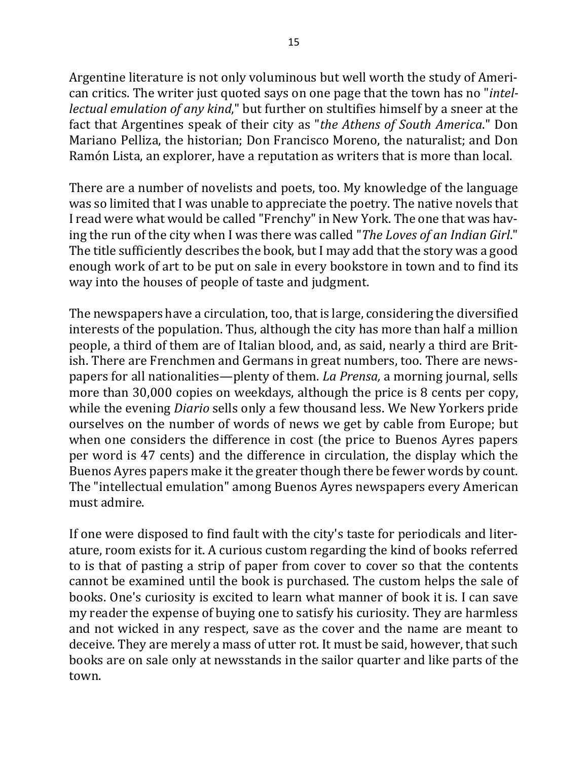Argentine literature is not only voluminous but well worth the study of American critics. The writer just quoted says on one page that the town has no "*intellectual emulation of any kind*," but further on stultifies himself by a sneer at the fact that Argentines speak of their city as "the Athens of South America." Don Mariano Pelliza, the historian; Don Francisco Moreno, the naturalist; and Don Ramón Lista, an explorer, have a reputation as writers that is more than local.

There are a number of novelists and poets, too. My knowledge of the language was so limited that I was unable to appreciate the poetry. The native novels that I read were what would be called "Frenchy" in New York. The one that was having the run of the city when I was there was called "*The Loves of an Indian Girl*." The title sufficiently describes the book, but I may add that the story was a good enough work of art to be put on sale in every bookstore in town and to find its way into the houses of people of taste and judgment.

The newspapers have a circulation, too, that is large, considering the diversified interests of the population. Thus, although the city has more than half a million people, a third of them are of Italian blood, and, as said, nearly a third are British. There are Frenchmen and Germans in great numbers, too. There are newspapers for all nationalities—plenty of them. *La Prensa*, a morning journal, sells more than  $30,000$  copies on weekdays, although the price is 8 cents per copy, while the evening *Diario* sells only a few thousand less. We New Yorkers pride ourselves on the number of words of news we get by cable from Europe; but when one considers the difference in cost (the price to Buenos Ayres papers per word is 47 cents) and the difference in circulation, the display which the Buenos Ayres papers make it the greater though there be fewer words by count. The "intellectual emulation" among Buenos Ayres newspapers every American must admire.

If one were disposed to find fault with the city's taste for periodicals and literature, room exists for it. A curious custom regarding the kind of books referred to is that of pasting a strip of paper from cover to cover so that the contents cannot be examined until the book is purchased. The custom helps the sale of books. One's curiosity is excited to learn what manner of book it is. I can save my reader the expense of buying one to satisfy his curiosity. They are harmless and not wicked in any respect, save as the cover and the name are meant to deceive. They are merely a mass of utter rot. It must be said, however, that such books are on sale only at newsstands in the sailor quarter and like parts of the town.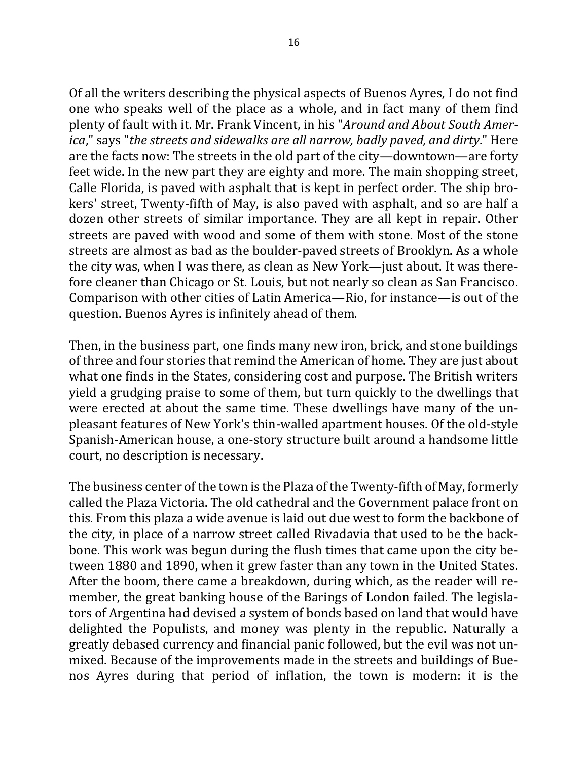Of all the writers describing the physical aspects of Buenos Ayres, I do not find one who speaks well of the place as a whole, and in fact many of them find plenty of fault with it. Mr. Frank Vincent, in his "Around and About South Amer*ica*," says "the streets and sidewalks are all narrow, badly paved, and dirty." Here are the facts now: The streets in the old part of the city—downtown—are forty feet wide. In the new part they are eighty and more. The main shopping street, Calle Florida, is paved with asphalt that is kept in perfect order. The ship brokers' street, Twenty-fifth of May, is also paved with asphalt, and so are half a dozen other streets of similar importance. They are all kept in repair. Other streets are paved with wood and some of them with stone. Most of the stone streets are almost as bad as the boulder-paved streets of Brooklyn. As a whole the city was, when I was there, as clean as New York—just about. It was therefore cleaner than Chicago or St. Louis, but not nearly so clean as San Francisco. Comparison with other cities of Latin America—Rio, for instance—is out of the question. Buenos Ayres is infinitely ahead of them.

Then, in the business part, one finds many new iron, brick, and stone buildings of three and four stories that remind the American of home. They are just about what one finds in the States, considering cost and purpose. The British writers yield a grudging praise to some of them, but turn quickly to the dwellings that were erected at about the same time. These dwellings have many of the unpleasant features of New York's thin-walled apartment houses. Of the old-style Spanish-American house, a one-story structure built around a handsome little court, no description is necessary.

The business center of the town is the Plaza of the Twenty-fifth of May, formerly called the Plaza Victoria. The old cathedral and the Government palace front on this. From this plaza a wide avenue is laid out due west to form the backbone of the city, in place of a narrow street called Rivadavia that used to be the backbone. This work was begun during the flush times that came upon the city between 1880 and 1890, when it grew faster than any town in the United States. After the boom, there came a breakdown, during which, as the reader will remember, the great banking house of the Barings of London failed. The legislators of Argentina had devised a system of bonds based on land that would have delighted the Populists, and money was plenty in the republic. Naturally a greatly debased currency and financial panic followed, but the evil was not unmixed. Because of the improvements made in the streets and buildings of Buenos Ayres during that period of inflation, the town is modern: it is the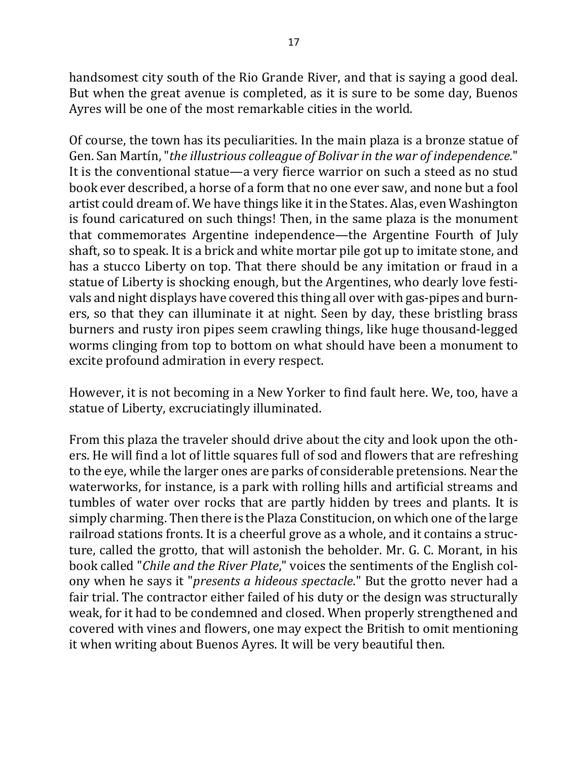handsomest city south of the Rio Grande River, and that is saying a good deal. But when the great avenue is completed, as it is sure to be some day, Buenos Ayres will be one of the most remarkable cities in the world.

Of course, the town has its peculiarities. In the main plaza is a bronze statue of Gen. San Martín, "*the illustrious colleague of Bolivar in the war of independence.*" It is the conventional statue—a very fierce warrior on such a steed as no stud book ever described, a horse of a form that no one ever saw, and none but a fool artist could dream of. We have things like it in the States. Alas, even Washington is found caricatured on such things! Then, in the same plaza is the monument that commemorates Argentine independence—the Argentine Fourth of July shaft, so to speak. It is a brick and white mortar pile got up to imitate stone, and has a stucco Liberty on top. That there should be any imitation or fraud in a statue of Liberty is shocking enough, but the Argentines, who dearly love festivals and night displays have covered this thing all over with gas-pipes and burners, so that they can illuminate it at night. Seen by day, these bristling brass burners and rusty iron pipes seem crawling things, like huge thousand-legged worms clinging from top to bottom on what should have been a monument to excite profound admiration in every respect.

However, it is not becoming in a New Yorker to find fault here. We, too, have a statue of Liberty, excruciatingly illuminated.

From this plaza the traveler should drive about the city and look upon the others. He will find a lot of little squares full of sod and flowers that are refreshing to the eye, while the larger ones are parks of considerable pretensions. Near the waterworks, for instance, is a park with rolling hills and artificial streams and tumbles of water over rocks that are partly hidden by trees and plants. It is simply charming. Then there is the Plaza Constitucion, on which one of the large railroad stations fronts. It is a cheerful grove as a whole, and it contains a structure, called the grotto, that will astonish the beholder. Mr. G. C. Morant, in his book called "*Chile and the River Plate*," voices the sentiments of the English colony when he says it "*presents a hideous spectacle*." But the grotto never had a fair trial. The contractor either failed of his duty or the design was structurally weak, for it had to be condemned and closed. When properly strengthened and covered with vines and flowers, one may expect the British to omit mentioning it when writing about Buenos Ayres. It will be very beautiful then.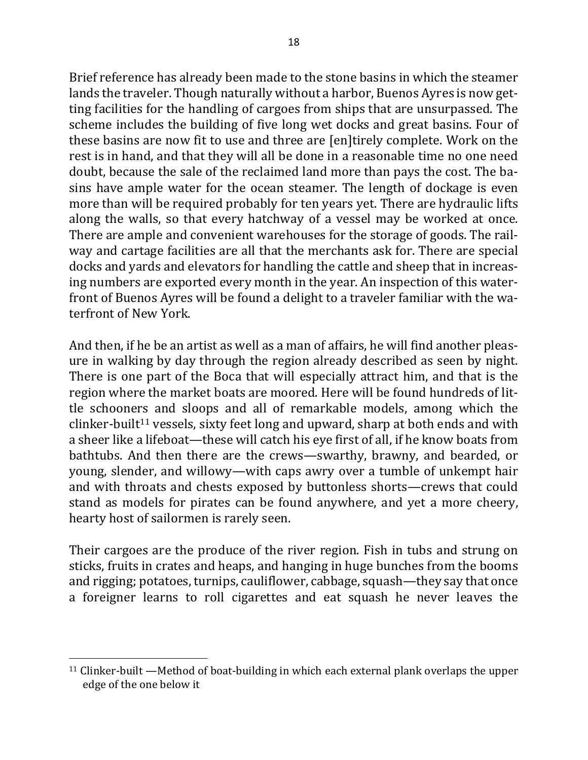Brief reference has already been made to the stone basins in which the steamer lands the traveler. Though naturally without a harbor, Buenos Ayres is now getting facilities for the handling of cargoes from ships that are unsurpassed. The scheme includes the building of five long wet docks and great basins. Four of these basins are now fit to use and three are [en]tirely complete. Work on the rest is in hand, and that they will all be done in a reasonable time no one need doubt, because the sale of the reclaimed land more than pays the cost. The basins have ample water for the ocean steamer. The length of dockage is even more than will be required probably for ten years yet. There are hydraulic lifts along the walls, so that every hatchway of a vessel may be worked at once. There are ample and convenient warehouses for the storage of goods. The railway and cartage facilities are all that the merchants ask for. There are special docks and yards and elevators for handling the cattle and sheep that in increasing numbers are exported every month in the year. An inspection of this waterfront of Buenos Ayres will be found a delight to a traveler familiar with the waterfront of New York.

And then, if he be an artist as well as a man of affairs, he will find another pleasure in walking by day through the region already described as seen by night. There is one part of the Boca that will especially attract him, and that is the region where the market boats are moored. Here will be found hundreds of little schooners and sloops and all of remarkable models, among which the  $\chi$ clinker-built<sup>11</sup> vessels, sixty feet long and upward, sharp at both ends and with a sheer like a lifeboat—these will catch his eye first of all, if he know boats from bathtubs. And then there are the crews—swarthy, brawny, and bearded, or young, slender, and willowy—with caps awry over a tumble of unkempt hair and with throats and chests exposed by buttonless shorts—crews that could stand as models for pirates can be found anywhere, and yet a more cheery, hearty host of sailormen is rarely seen.

Their cargoes are the produce of the river region. Fish in tubs and strung on sticks, fruits in crates and heaps, and hanging in huge bunches from the booms and rigging; potatoes, turnips, cauliflower, cabbage, squash—they say that once a foreigner learns to roll cigarettes and eat squash he never leaves the

 $11$  Clinker-built —Method of boat-building in which each external plank overlaps the upper edge of the one below it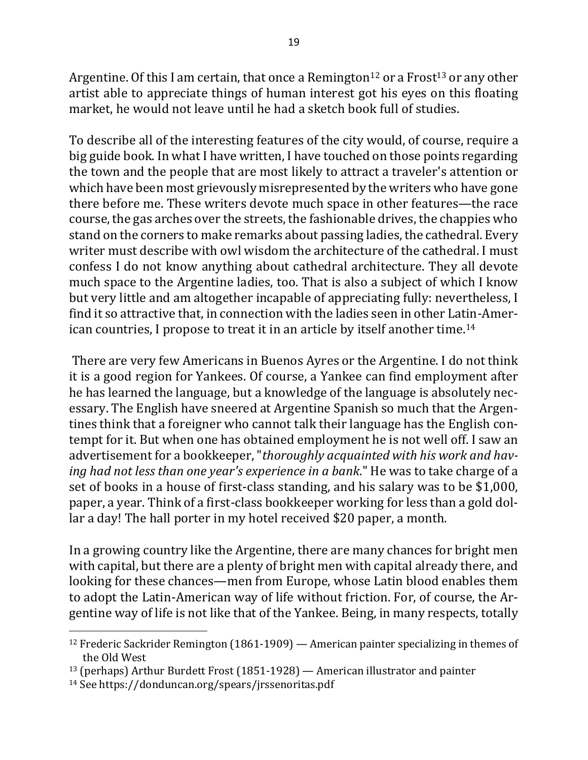Argentine. Of this I am certain, that once a Remington<sup>12</sup> or a Frost<sup>13</sup> or any other artist able to appreciate things of human interest got his eves on this floating market, he would not leave until he had a sketch book full of studies.

To describe all of the interesting features of the city would, of course, require a big guide book. In what I have written, I have touched on those points regarding the town and the people that are most likely to attract a traveler's attention or which have been most grievously misrepresented by the writers who have gone there before me. These writers devote much space in other features—the race course, the gas arches over the streets, the fashionable drives, the chappies who stand on the corners to make remarks about passing ladies, the cathedral. Every writer must describe with owl wisdom the architecture of the cathedral. I must confess I do not know anything about cathedral architecture. They all devote much space to the Argentine ladies, too. That is also a subject of which I know but very little and am altogether incapable of appreciating fully: nevertheless, I find it so attractive that, in connection with the ladies seen in other Latin-American countries, I propose to treat it in an article by itself another time.<sup>14</sup>

There are very few Americans in Buenos Ayres or the Argentine. I do not think it is a good region for Yankees. Of course, a Yankee can find employment after he has learned the language, but a knowledge of the language is absolutely necessary. The English have sneered at Argentine Spanish so much that the Argentines think that a foreigner who cannot talk their language has the English contempt for it. But when one has obtained employment he is not well off. I saw an advertisement for a bookkeeper, "thoroughly acquainted with his work and hav*ing had not less than one year's experience in a bank*." He was to take charge of a set of books in a house of first-class standing, and his salary was to be \$1,000, paper, a year. Think of a first-class bookkeeper working for less than a gold dollar a day! The hall porter in my hotel received \$20 paper, a month.

In a growing country like the Argentine, there are many chances for bright men with capital, but there are a plenty of bright men with capital already there, and looking for these chances—men from Europe, whose Latin blood enables them to adopt the Latin-American way of life without friction. For, of course, the Argentine way of life is not like that of the Yankee. Being, in many respects, totally

<sup>&</sup>lt;sup>12</sup> Frederic Sackrider Remington  $(1861-1909)$  — American painter specializing in themes of the Old West

 $13$  (perhaps) Arthur Burdett Frost (1851-1928) — American illustrator and painter

<sup>14</sup> See https://donduncan.org/spears/jrssenoritas.pdf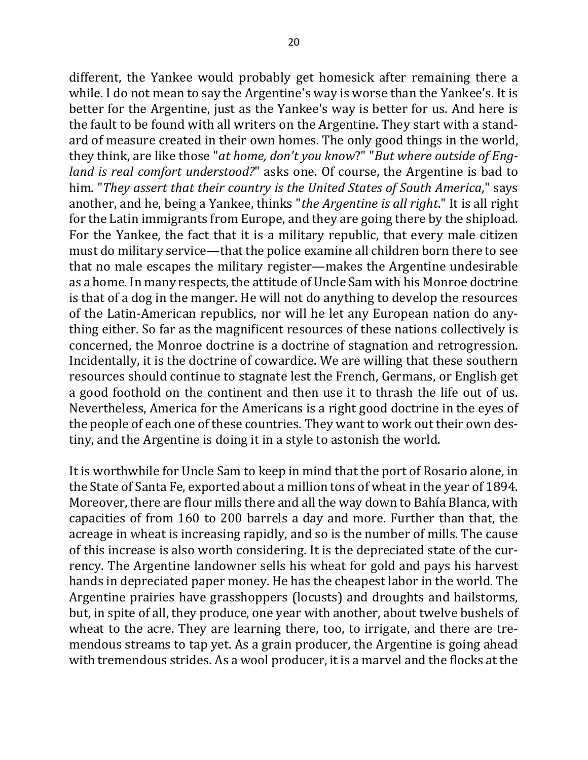different, the Yankee would probably get homesick after remaining there a while. I do not mean to say the Argentine's way is worse than the Yankee's. It is better for the Argentine, just as the Yankee's way is better for us. And here is the fault to be found with all writers on the Argentine. They start with a standard of measure created in their own homes. The only good things in the world, they think, are like those "at home, don't you know?" "But where outside of Eng*land is real comfort understood?*" asks one. Of course, the Argentine is bad to him. "*They assert that their country is the United States of South America*," says another, and he, being a Yankee, thinks "*the Argentine is all right*." It is all right for the Latin immigrants from Europe, and they are going there by the shipload. For the Yankee, the fact that it is a military republic, that every male citizen must do military service—that the police examine all children born there to see that no male escapes the military register—makes the Argentine undesirable as a home. In many respects, the attitude of Uncle Sam with his Monroe doctrine is that of a dog in the manger. He will not do anything to develop the resources of the Latin-American republics, nor will he let any European nation do anything either. So far as the magnificent resources of these nations collectively is concerned, the Monroe doctrine is a doctrine of stagnation and retrogression. Incidentally, it is the doctrine of cowardice. We are willing that these southern resources should continue to stagnate lest the French, Germans, or English get a good foothold on the continent and then use it to thrash the life out of us. Nevertheless, America for the Americans is a right good doctrine in the eyes of the people of each one of these countries. They want to work out their own destiny, and the Argentine is doing it in a style to astonish the world.

It is worthwhile for Uncle Sam to keep in mind that the port of Rosario alone, in the State of Santa Fe, exported about a million tons of wheat in the year of 1894. Moreover, there are flour mills there and all the way down to Bahía Blanca, with capacities of from 160 to 200 barrels a day and more. Further than that, the acreage in wheat is increasing rapidly, and so is the number of mills. The cause of this increase is also worth considering. It is the depreciated state of the currency. The Argentine landowner sells his wheat for gold and pays his harvest hands in depreciated paper money. He has the cheapest labor in the world. The Argentine prairies have grasshoppers (locusts) and droughts and hailstorms, but, in spite of all, they produce, one year with another, about twelve bushels of wheat to the acre. They are learning there, too, to irrigate, and there are tremendous streams to tap yet. As a grain producer, the Argentine is going ahead with tremendous strides. As a wool producer, it is a marvel and the flocks at the